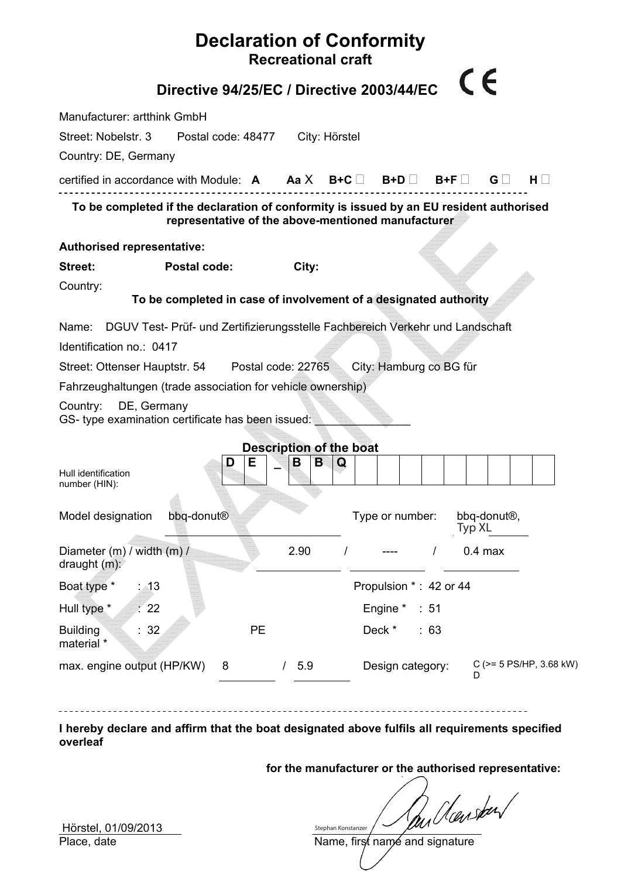|                                                                                         |                                                                  | <b>Declaration of Conformity</b><br><b>Recreational craft</b> |               |                         |          |                  |           |                          |          |                         |
|-----------------------------------------------------------------------------------------|------------------------------------------------------------------|---------------------------------------------------------------|---------------|-------------------------|----------|------------------|-----------|--------------------------|----------|-------------------------|
|                                                                                         | Directive 94/25/EC / Directive 2003/44/EC                        |                                                               |               |                         |          |                  | CE        |                          |          |                         |
| Manufacturer: artthink GmbH                                                             |                                                                  |                                                               |               |                         |          |                  |           |                          |          |                         |
| Street: Nobelstr. 3                                                                     | Postal code: 48477                                               |                                                               | City: Hörstel |                         |          |                  |           |                          |          |                         |
| Country: DE, Germany                                                                    |                                                                  |                                                               |               |                         |          |                  |           |                          |          |                         |
| certified in accordance with Module: $A$ $Aa X$ B+C $\Box$ B+D $\Box$ B+F $\Box$        |                                                                  |                                                               |               |                         |          |                  |           | $\mathsf{G} \sqcup$      | $H \Box$ |                         |
| To be completed if the declaration of conformity is issued by an EU resident authorised | representative of the above-mentioned manufacturer               |                                                               |               |                         |          |                  |           |                          |          |                         |
| <b>Authorised representative:</b>                                                       |                                                                  |                                                               |               |                         |          |                  |           |                          |          |                         |
| <b>Street:</b>                                                                          | <b>Postal code:</b>                                              | City:                                                         |               |                         |          |                  |           |                          |          |                         |
| Country:                                                                                | To be completed in case of involvement of a designated authority |                                                               |               |                         |          |                  |           |                          |          |                         |
|                                                                                         |                                                                  |                                                               |               |                         |          |                  |           |                          |          |                         |
| Name: DGUV Test- Prüf- und Zertifizierungsstelle Fachbereich Verkehr und Landschaft     |                                                                  |                                                               |               |                         |          |                  |           |                          |          |                         |
| Identification no.: 0417                                                                |                                                                  |                                                               |               |                         |          |                  |           |                          |          |                         |
| Street: Ottenser Hauptstr. 54 Postal code: 22765                                        |                                                                  |                                                               |               | City: Hamburg co BG für |          |                  |           |                          |          |                         |
| Fahrzeughaltungen (trade association for vehicle ownership)                             |                                                                  |                                                               |               |                         |          |                  |           |                          |          |                         |
| DE, Germany<br>Country:<br>GS- type examination certificate has been issued:            |                                                                  |                                                               |               |                         |          |                  |           |                          |          |                         |
|                                                                                         |                                                                  | <b>Description of the boat</b>                                |               |                         |          |                  |           |                          |          |                         |
| Hull identification<br>number (HIN):                                                    | D                                                                | Е<br>В                                                        | B<br>Q        |                         |          |                  |           |                          |          |                         |
| Model designation                                                                       | bbq-donut <sup>®</sup>                                           |                                                               |               | Type or number:         |          |                  | Typ XL    | bbq-donut <sup>®</sup> , |          |                         |
| Diameter (m) / width (m) /<br>draught $(m)$ :                                           |                                                                  | 2.90                                                          |               |                         |          | $\prime$         | $0.4$ max |                          |          |                         |
| Boat type *<br>: 13                                                                     |                                                                  |                                                               |               | Propulsion *: 42 or 44  |          |                  |           |                          |          |                         |
| Hull type *<br>$\frac{1}{2}$ 22                                                         |                                                                  |                                                               |               |                         | Engine * | $\therefore$ 51  |           |                          |          |                         |
| :32<br><b>Building</b><br>material *                                                    |                                                                  | PE                                                            |               |                         | Deck *   | :63              |           |                          |          |                         |
| max. engine output (HP/KW)                                                              | 8                                                                | / 5.9                                                         |               |                         |          | Design category: | D         |                          |          | C (>= 5 PS/HP, 3.68 kW) |
|                                                                                         |                                                                  |                                                               |               |                         |          |                  |           |                          |          |                         |

**I hereby declare and affirm that the boat designated above fulfils all requirements specified overleaf**

**for the manufacturer or the authorised representative:** 

Name, first name and signature Stephan Konstanzer

 $\frac{1}{10}$  Hörstel, 01/09/2013